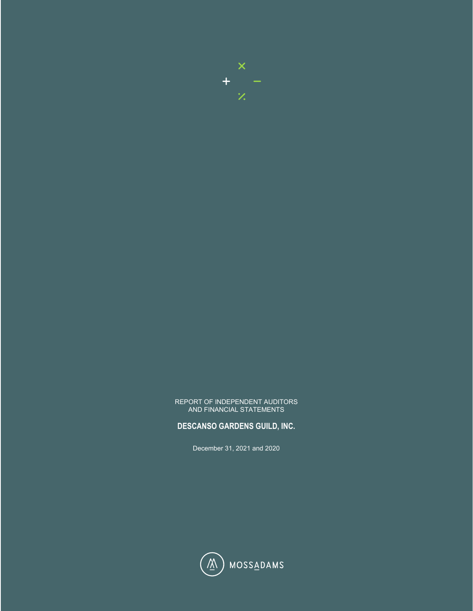

#### REPORT OF INDEPENDENT AUDITORS AND FINANCIAL STATEMENTS

# **DESCANSO GARDENS GUILD, INC.**

December 31, 2021 and 2020

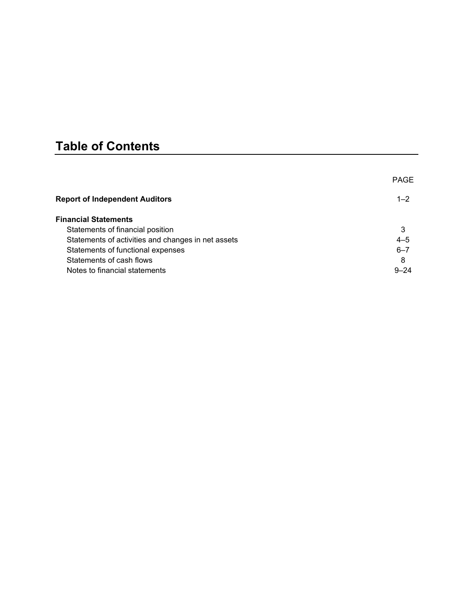# **Table of Contents**

| <b>PAGE</b>                                        |          |
|----------------------------------------------------|----------|
| <b>Report of Independent Auditors</b>              | $1 - 2$  |
| <b>Financial Statements</b>                        |          |
| Statements of financial position                   | 3        |
| Statements of activities and changes in net assets | $4 - 5$  |
| Statements of functional expenses                  | $6 - 7$  |
| Statements of cash flows                           | 8        |
| Notes to financial statements                      | $9 - 24$ |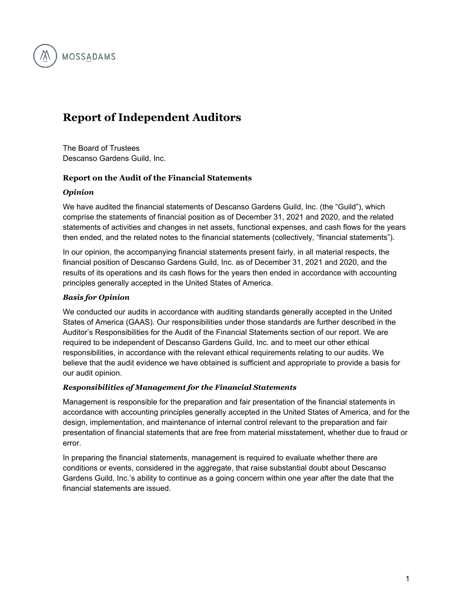

# **Report of Independent Auditors**

The Board of Trustees Descanso Gardens Guild, Inc.

# **Report on the Audit of the Financial Statements**

#### *Opinion*

We have audited the financial statements of Descanso Gardens Guild, Inc. (the "Guild"), which comprise the statements of financial position as of December 31, 2021 and 2020, and the related statements of activities and changes in net assets, functional expenses, and cash flows for the years then ended, and the related notes to the financial statements (collectively, "financial statements").

In our opinion, the accompanying financial statements present fairly, in all material respects, the financial position of Descanso Gardens Guild, Inc. as of December 31, 2021 and 2020, and the results of its operations and its cash flows for the years then ended in accordance with accounting principles generally accepted in the United States of America.

#### *Basis for Opinion*

We conducted our audits in accordance with auditing standards generally accepted in the United States of America (GAAS). Our responsibilities under those standards are further described in the Auditor's Responsibilities for the Audit of the Financial Statements section of our report. We are required to be independent of Descanso Gardens Guild, Inc. and to meet our other ethical responsibilities, in accordance with the relevant ethical requirements relating to our audits. We believe that the audit evidence we have obtained is sufficient and appropriate to provide a basis for our audit opinion.

#### *Responsibilities of Management for the Financial Statements*

Management is responsible for the preparation and fair presentation of the financial statements in accordance with accounting principles generally accepted in the United States of America, and for the design, implementation, and maintenance of internal control relevant to the preparation and fair presentation of financial statements that are free from material misstatement, whether due to fraud or error.

In preparing the financial statements, management is required to evaluate whether there are conditions or events, considered in the aggregate, that raise substantial doubt about Descanso Gardens Guild, Inc.'s ability to continue as a going concern within one year after the date that the financial statements are issued.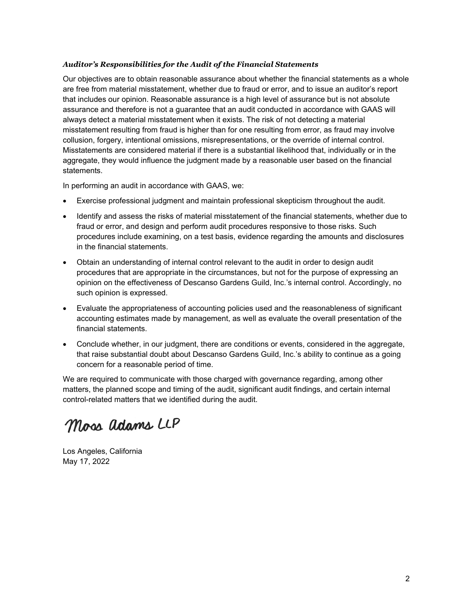#### *Auditor's Responsibilities for the Audit of the Financial Statements*

Our objectives are to obtain reasonable assurance about whether the financial statements as a whole are free from material misstatement, whether due to fraud or error, and to issue an auditor's report that includes our opinion. Reasonable assurance is a high level of assurance but is not absolute assurance and therefore is not a guarantee that an audit conducted in accordance with GAAS will always detect a material misstatement when it exists. The risk of not detecting a material misstatement resulting from fraud is higher than for one resulting from error, as fraud may involve collusion, forgery, intentional omissions, misrepresentations, or the override of internal control. Misstatements are considered material if there is a substantial likelihood that, individually or in the aggregate, they would influence the judgment made by a reasonable user based on the financial statements.

In performing an audit in accordance with GAAS, we:

- Exercise professional judgment and maintain professional skepticism throughout the audit.
- Identify and assess the risks of material misstatement of the financial statements, whether due to fraud or error, and design and perform audit procedures responsive to those risks. Such procedures include examining, on a test basis, evidence regarding the amounts and disclosures in the financial statements.
- Obtain an understanding of internal control relevant to the audit in order to design audit procedures that are appropriate in the circumstances, but not for the purpose of expressing an opinion on the effectiveness of Descanso Gardens Guild, Inc.'s internal control. Accordingly, no such opinion is expressed.
- Evaluate the appropriateness of accounting policies used and the reasonableness of significant accounting estimates made by management, as well as evaluate the overall presentation of the financial statements.
- Conclude whether, in our judgment, there are conditions or events, considered in the aggregate, that raise substantial doubt about Descanso Gardens Guild, Inc.'s ability to continue as a going concern for a reasonable period of time.

We are required to communicate with those charged with governance regarding, among other matters, the planned scope and timing of the audit, significant audit findings, and certain internal control-related matters that we identified during the audit.

Moss adams LLP

Los Angeles, California May 17, 2022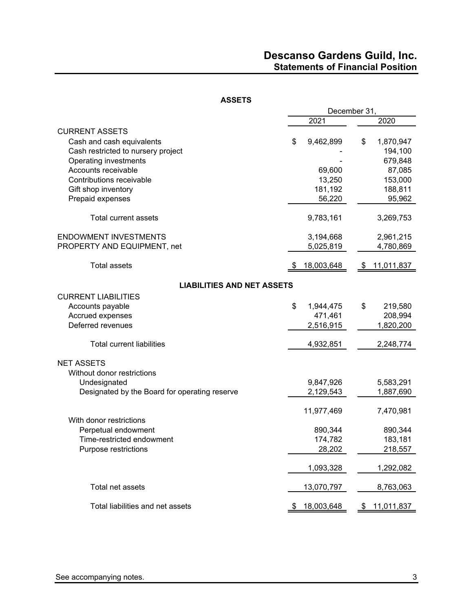|                                                  | December 31,       |                    |
|--------------------------------------------------|--------------------|--------------------|
|                                                  | 2021               | 2020               |
| <b>CURRENT ASSETS</b>                            |                    |                    |
| Cash and cash equivalents                        | \$<br>9,462,899    | \$<br>1,870,947    |
| Cash restricted to nursery project               |                    | 194,100            |
| Operating investments                            |                    | 679,848            |
| Accounts receivable                              | 69,600             | 87,085             |
| Contributions receivable                         | 13,250             | 153,000            |
| Gift shop inventory                              | 181,192            | 188,811            |
| Prepaid expenses                                 | 56,220             | 95,962             |
| Total current assets                             | 9,783,161          | 3,269,753          |
| ENDOWMENT INVESTMENTS                            | 3,194,668          | 2,961,215          |
| PROPERTY AND EQUIPMENT, net                      | 5,025,819          | 4,780,869          |
| <b>Total assets</b>                              | 18,003,648         | 11,011,837<br>\$   |
| <b>LIABILITIES AND NET ASSETS</b>                |                    |                    |
| <b>CURRENT LIABILITIES</b>                       |                    |                    |
| Accounts payable                                 | \$<br>1,944,475    | \$<br>219,580      |
| Accrued expenses                                 | 471,461            | 208,994            |
| Deferred revenues                                | 2,516,915          | 1,820,200          |
| Total current liabilities                        | 4,932,851          | 2,248,774          |
| NET ASSETS                                       |                    |                    |
| Without donor restrictions                       |                    |                    |
| Undesignated                                     | 9,847,926          | 5,583,291          |
| Designated by the Board for operating reserve    | 2,129,543          | 1,887,690          |
|                                                  | 11,977,469         | 7,470,981          |
| With donor restrictions                          |                    |                    |
| Perpetual endowment<br>Time-restricted endowment | 890,344<br>174,782 | 890,344<br>183,181 |
| Purpose restrictions                             | 28,202             | 218,557            |
|                                                  | 1,093,328          | 1,292,082          |
| Total net assets                                 | 13,070,797         | 8,763,063          |
|                                                  |                    |                    |
| Total liabilities and net assets                 | 18,003,648<br>\$   | \$<br>11,011,837   |

**ASSETS**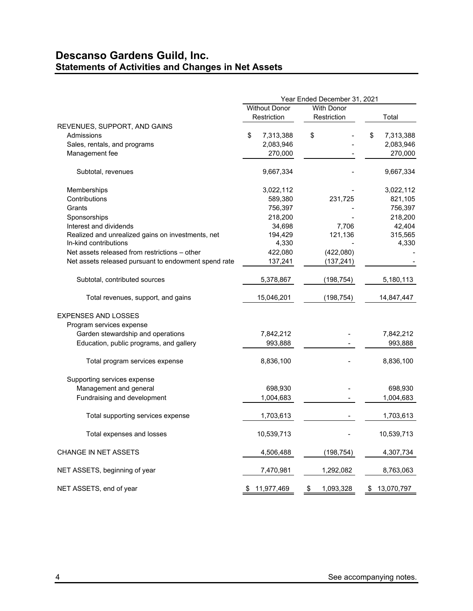# **Descanso Gardens Guild, Inc. Statements of Activities and Changes in Net Assets**

|                                                      | Year Ended December 31, 2021 |                      |                   |            |    |            |
|------------------------------------------------------|------------------------------|----------------------|-------------------|------------|----|------------|
|                                                      |                              | <b>Without Donor</b> | <b>With Donor</b> |            |    |            |
|                                                      |                              | Restriction          | Restriction       |            |    | Total      |
| REVENUES, SUPPORT, AND GAINS                         |                              |                      |                   |            |    |            |
| Admissions                                           | \$                           | 7,313,388            | \$                |            | \$ | 7,313,388  |
| Sales, rentals, and programs                         |                              | 2,083,946            |                   |            |    | 2,083,946  |
| Management fee                                       |                              | 270,000              |                   |            |    | 270,000    |
| Subtotal, revenues                                   |                              | 9,667,334            |                   |            |    | 9,667,334  |
| Memberships                                          |                              | 3,022,112            |                   |            |    | 3,022,112  |
| Contributions                                        |                              | 589,380              |                   | 231,725    |    | 821,105    |
| Grants                                               |                              | 756,397              |                   |            |    | 756,397    |
| Sponsorships                                         |                              | 218,200              |                   |            |    | 218,200    |
| Interest and dividends                               |                              | 34,698               |                   | 7,706      |    | 42,404     |
| Realized and unrealized gains on investments, net    |                              | 194,429              |                   | 121,136    |    | 315,565    |
| In-kind contributions                                |                              | 4,330                |                   |            |    | 4,330      |
| Net assets released from restrictions – other        |                              | 422,080              |                   | (422,080)  |    |            |
| Net assets released pursuant to endowment spend rate |                              | 137,241              |                   | (137, 241) |    |            |
| Subtotal, contributed sources                        |                              | 5,378,867            |                   | (198, 754) |    | 5,180,113  |
| Total revenues, support, and gains                   |                              | 15,046,201           |                   | (198, 754) |    | 14,847,447 |
| <b>EXPENSES AND LOSSES</b>                           |                              |                      |                   |            |    |            |
| Program services expense                             |                              |                      |                   |            |    |            |
| Garden stewardship and operations                    |                              | 7,842,212            |                   |            |    | 7,842,212  |
| Education, public programs, and gallery              |                              | 993,888              |                   |            |    | 993,888    |
| Total program services expense                       |                              | 8,836,100            |                   |            |    | 8,836,100  |
| Supporting services expense                          |                              |                      |                   |            |    |            |
| Management and general                               |                              | 698,930              |                   |            |    | 698,930    |
| Fundraising and development                          |                              | 1,004,683            |                   |            |    | 1,004,683  |
| Total supporting services expense                    |                              | 1,703,613            |                   |            |    | 1,703,613  |
| Total expenses and losses                            |                              | 10,539,713           |                   |            |    | 10,539,713 |
| CHANGE IN NET ASSETS                                 |                              | 4,506,488            |                   | (198, 754) |    | 4,307,734  |
| NET ASSETS, beginning of year                        |                              | 7,470,981            |                   | 1,292,082  |    | 8,763,063  |
| NET ASSETS, end of year                              | \$                           | 11,977,469           | \$                | 1,093,328  | S  | 13,070,797 |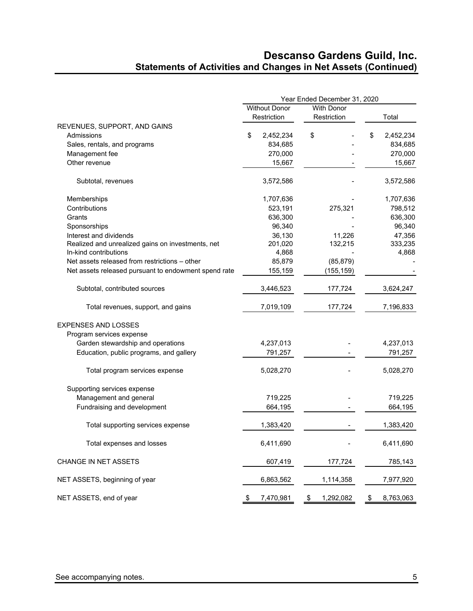|                                                      | Year Ended December 31, 2020 |                            |                  |  |  |
|------------------------------------------------------|------------------------------|----------------------------|------------------|--|--|
|                                                      | <b>Without Donor</b>         | <b>With Donor</b>          |                  |  |  |
|                                                      | Restriction                  | Restriction                | Total            |  |  |
| REVENUES, SUPPORT, AND GAINS                         |                              |                            |                  |  |  |
| Admissions                                           | \$<br>2,452,234              | \$                         | 2,452,234<br>\$  |  |  |
| Sales, rentals, and programs                         | 834,685                      |                            | 834,685          |  |  |
| Management fee                                       | 270,000                      |                            | 270,000          |  |  |
| Other revenue                                        | 15,667                       |                            | 15,667           |  |  |
|                                                      |                              |                            |                  |  |  |
| Subtotal, revenues                                   | 3,572,586                    |                            | 3,572,586        |  |  |
| Memberships                                          | 1,707,636                    |                            | 1,707,636        |  |  |
| Contributions                                        | 523,191                      | 275,321                    | 798,512          |  |  |
| Grants                                               | 636,300                      |                            | 636,300          |  |  |
| Sponsorships                                         | 96,340                       |                            | 96,340           |  |  |
| Interest and dividends                               | 36,130                       | 11,226                     | 47,356           |  |  |
| Realized and unrealized gains on investments, net    | 201,020                      | 132,215                    | 333,235          |  |  |
| In-kind contributions                                | 4,868                        |                            | 4,868            |  |  |
| Net assets released from restrictions – other        | 85,879                       | (85, 879)                  |                  |  |  |
| Net assets released pursuant to endowment spend rate | 155,159                      | (155,159)                  |                  |  |  |
|                                                      |                              |                            |                  |  |  |
| Subtotal, contributed sources                        | 3,446,523                    | 177,724                    | 3,624,247        |  |  |
| Total revenues, support, and gains                   | 7,019,109                    | 177,724                    | 7,196,833        |  |  |
| <b>EXPENSES AND LOSSES</b>                           |                              |                            |                  |  |  |
| Program services expense                             |                              |                            |                  |  |  |
| Garden stewardship and operations                    | 4,237,013                    |                            | 4,237,013        |  |  |
| Education, public programs, and gallery              | 791,257                      |                            | 791,257          |  |  |
| Total program services expense                       | 5,028,270                    |                            | 5,028,270        |  |  |
| Supporting services expense                          |                              |                            |                  |  |  |
| Management and general                               | 719,225                      |                            | 719,225          |  |  |
| Fundraising and development                          | 664,195                      |                            | 664,195          |  |  |
| Total supporting services expense                    | 1,383,420                    |                            | 1,383,420        |  |  |
| Total expenses and losses                            | 6,411,690                    |                            | 6,411,690        |  |  |
| CHANGE IN NET ASSETS                                 | 607,419                      | 177,724                    | 785,143          |  |  |
| NET ASSETS, beginning of year                        | 6,863,562                    | 1,114,358                  | 7,977,920        |  |  |
|                                                      |                              |                            |                  |  |  |
| NET ASSETS, end of year                              | 7,470,981                    | $\frac{1}{2}$<br>1,292,082 | 8,763,063<br>-\$ |  |  |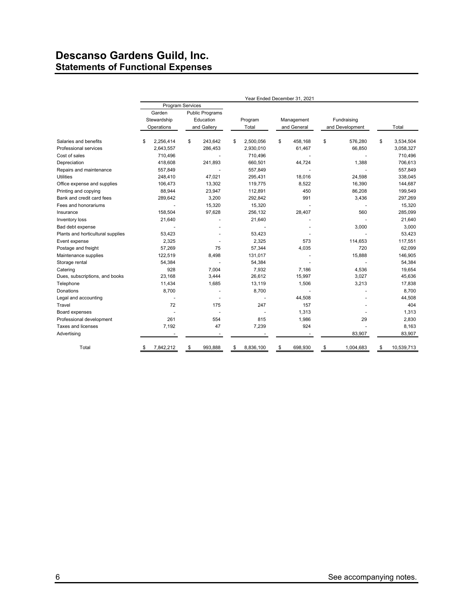# **Descanso Gardens Guild, Inc. Statements of Functional Expenses**

|                                   |                 |        |                         |                 | Year Ended December 31, 2021 |                 |                  |
|-----------------------------------|-----------------|--------|-------------------------|-----------------|------------------------------|-----------------|------------------|
|                                   |                 |        | <b>Program Services</b> |                 |                              |                 |                  |
|                                   | Garden          |        | <b>Public Programs</b>  |                 |                              |                 |                  |
|                                   | Stewardship     |        | Education               | Program         | Management                   | Fundraising     |                  |
|                                   | Operations      |        | and Gallery             | Total           | and General                  | and Development | Total            |
| Salaries and benefits             | 2,256,414<br>\$ |        | \$<br>243,642           | \$<br>2,500,056 | \$<br>458,168                | \$<br>576,280   | \$<br>3,534,504  |
| Professional services             | 2,643,557       |        | 286,453                 | 2,930,010       | 61,467                       | 66,850          | 3,058,327        |
| Cost of sales                     | 710,496         |        |                         | 710,496         |                              |                 | 710,496          |
| Depreciation                      | 418,608         |        | 241,893                 | 660,501         | 44,724                       | 1,388           | 706,613          |
| Repairs and maintenance           | 557,849         |        |                         | 557,849         |                              |                 | 557,849          |
| <b>Utilities</b>                  | 248,410         |        | 47.021                  | 295,431         | 18,016                       | 24,598          | 338,045          |
| Office expense and supplies       | 106,473         |        | 13,302                  | 119,775         | 8,522                        | 16,390          | 144,687          |
| Printing and copying              |                 | 88,944 | 23,947                  | 112.891         | 450                          | 86.208          | 199,549          |
| Bank and credit card fees         | 289,642         |        | 3,200                   | 292,842         | 991                          | 3,436           | 297,269          |
| Fees and honorariums              |                 |        | 15,320                  | 15,320          |                              |                 | 15,320           |
| Insurance                         | 158,504         |        | 97,628                  | 256,132         | 28,407                       | 560             | 285,099          |
| Inventory loss                    |                 | 21,640 |                         | 21,640          |                              |                 | 21,640           |
| Bad debt expense                  |                 |        |                         |                 |                              | 3,000           | 3,000            |
| Plants and horticultural supplies |                 | 53,423 |                         | 53,423          |                              |                 | 53,423           |
| Event expense                     |                 | 2,325  |                         | 2,325           | 573                          | 114,653         | 117,551          |
| Postage and freight               |                 | 57,269 | 75                      | 57,344          | 4,035                        | 720             | 62,099           |
| Maintenance supplies              | 122,519         |        | 8,498                   | 131,017         |                              | 15,888          | 146,905          |
| Storage rental                    |                 | 54,384 |                         | 54,384          |                              |                 | 54,384           |
| Catering                          |                 | 928    | 7,004                   | 7,932           | 7,186                        | 4,536           | 19,654           |
| Dues, subscriptions, and books    |                 | 23,168 | 3,444                   | 26,612          | 15,997                       | 3,027           | 45,636           |
| Telephone                         |                 | 11,434 | 1,685                   | 13,119          | 1,506                        | 3,213           | 17,838           |
| Donations                         |                 | 8,700  |                         | 8,700           |                              |                 | 8,700            |
| Legal and accounting              |                 |        |                         |                 | 44,508                       |                 | 44,508           |
| Travel                            |                 | 72     | 175                     | 247             | 157                          |                 | 404              |
| Board expenses                    |                 |        |                         |                 | 1,313                        |                 | 1,313            |
| Professional development          |                 | 261    | 554                     | 815             | 1,986                        | 29              | 2,830            |
| Taxes and licenses                |                 | 7,192  | 47                      | 7,239           | 924                          |                 | 8,163            |
| Advertising                       |                 |        |                         |                 |                              | 83,907          | 83,907           |
| Total                             | 7,842,212<br>S  |        | \$<br>993,888           | \$<br>8,836,100 | \$<br>698,930                | \$<br>1,004,683 | \$<br>10,539,713 |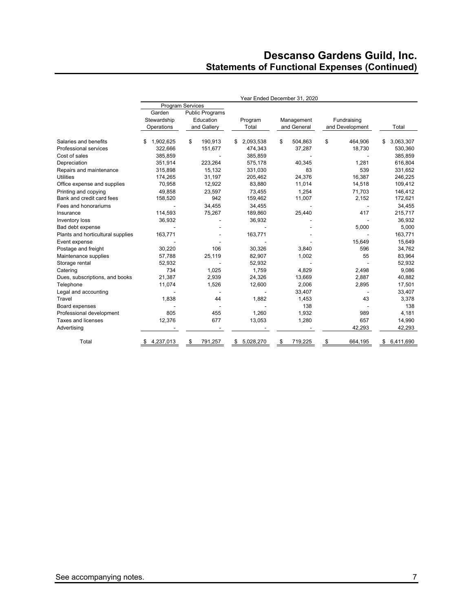# **Descanso Gardens Guild, Inc. Statements of Functional Expenses (Continued)**

|                                   |                                     |                                                    |                  | Year Ended December 31, 2020 |                                |                 |
|-----------------------------------|-------------------------------------|----------------------------------------------------|------------------|------------------------------|--------------------------------|-----------------|
|                                   |                                     | Program Services                                   |                  |                              |                                |                 |
|                                   | Garden<br>Stewardship<br>Operations | <b>Public Programs</b><br>Education<br>and Gallery | Program<br>Total | Management<br>and General    | Fundraising<br>and Development | Total           |
| Salaries and benefits             | 1,902,625<br>\$                     | \$<br>190,913                                      | 2,093,538<br>\$  | \$<br>504,863                | \$<br>464,906                  | 3,063,307       |
| Professional services             | 322,666                             | 151,677                                            | 474,343          | 37,287                       | 18,730                         | 530,360         |
| Cost of sales                     | 385,859                             |                                                    | 385,859          |                              |                                | 385,859         |
| Depreciation                      | 351,914                             | 223,264                                            | 575,178          | 40,345                       | 1,281                          | 616,804         |
| Repairs and maintenance           | 315,898                             | 15,132                                             | 331,030          | 83                           | 539                            | 331,652         |
| <b>Utilities</b>                  | 174,265                             | 31,197                                             | 205,462          | 24,376                       | 16,387                         | 246,225         |
| Office expense and supplies       | 70,958                              | 12,922                                             | 83,880           | 11,014                       | 14,518                         | 109,412         |
| Printing and copying              | 49,858                              | 23,597                                             | 73,455           | 1,254                        | 71,703                         | 146,412         |
| Bank and credit card fees         | 158,520                             | 942                                                | 159,462          | 11,007                       | 2,152                          | 172,621         |
| Fees and honorariums              |                                     | 34,455                                             | 34,455           |                              |                                | 34,455          |
| Insurance                         | 114,593                             | 75,267                                             | 189,860          | 25,440                       | 417                            | 215,717         |
| Inventory loss                    | 36,932                              |                                                    | 36,932           |                              |                                | 36,932          |
| Bad debt expense                  |                                     |                                                    |                  |                              | 5,000                          | 5,000           |
| Plants and horticultural supplies | 163,771                             |                                                    | 163,771          |                              |                                | 163,771         |
| Event expense                     |                                     |                                                    |                  |                              | 15,649                         | 15,649          |
| Postage and freight               | 30,220                              | 106                                                | 30,326           | 3,840                        | 596                            | 34,762          |
| Maintenance supplies              | 57,788                              | 25,119                                             | 82,907           | 1,002                        | 55                             | 83,964          |
| Storage rental                    | 52,932                              |                                                    | 52,932           |                              |                                | 52,932          |
| Catering                          | 734                                 | 1,025                                              | 1,759            | 4,829                        | 2,498                          | 9,086           |
| Dues, subscriptions, and books    | 21,387                              | 2,939                                              | 24,326           | 13,669                       | 2,887                          | 40,882          |
| Telephone                         | 11,074                              | 1,526                                              | 12,600           | 2,006                        | 2,895                          | 17,501          |
| Legal and accounting              |                                     |                                                    |                  | 33,407                       |                                | 33,407          |
| Travel                            | 1,838                               | 44                                                 | 1,882            | 1,453                        | 43                             | 3,378           |
| Board expenses                    |                                     |                                                    |                  | 138                          |                                | 138             |
| Professional development          | 805                                 | 455                                                | 1,260            | 1,932                        | 989                            | 4,181           |
| Taxes and licenses                | 12,376                              | 677                                                | 13,053           | 1,280                        | 657                            | 14,990          |
| Advertising                       |                                     |                                                    |                  |                              | 42,293                         | 42,293          |
| Total                             | 4,237,013                           | 791,257<br>\$                                      | 5.028.270<br>\$  | \$<br>719,225                | \$<br>664,195                  | 6,411,690<br>\$ |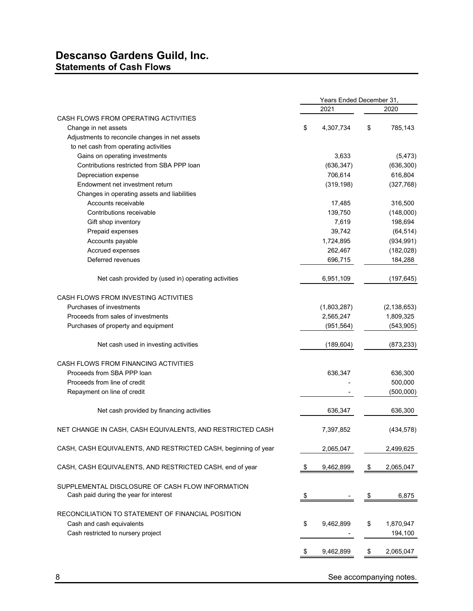# **Descanso Gardens Guild, Inc. Statements of Cash Flows**

|                                                                                            | Years Ended December 31, |             |    |                      |  |
|--------------------------------------------------------------------------------------------|--------------------------|-------------|----|----------------------|--|
|                                                                                            |                          | 2021        |    | 2020                 |  |
| CASH FLOWS FROM OPERATING ACTIVITIES                                                       |                          |             |    |                      |  |
| Change in net assets                                                                       | \$                       | 4,307,734   | \$ | 785,143              |  |
| Adjustments to reconcile changes in net assets                                             |                          |             |    |                      |  |
| to net cash from operating activities                                                      |                          |             |    |                      |  |
| Gains on operating investments                                                             |                          | 3,633       |    | (5, 473)             |  |
| Contributions restricted from SBA PPP loan                                                 |                          | (636, 347)  |    | (636, 300)           |  |
| Depreciation expense                                                                       |                          | 706,614     |    | 616,804              |  |
| Endowment net investment return                                                            |                          | (319, 198)  |    | (327, 768)           |  |
| Changes in operating assets and liabilities                                                |                          |             |    |                      |  |
| Accounts receivable                                                                        |                          | 17,485      |    | 316,500              |  |
| Contributions receivable                                                                   |                          | 139,750     |    | (148,000)            |  |
| Gift shop inventory                                                                        |                          | 7,619       |    | 198,694              |  |
| Prepaid expenses                                                                           |                          | 39,742      |    | (64, 514)            |  |
| Accounts payable                                                                           |                          | 1,724,895   |    | (934, 991)           |  |
| Accrued expenses                                                                           |                          | 262,467     |    | (182, 028)           |  |
| Deferred revenues                                                                          |                          | 696,715     |    | 184,288              |  |
| Net cash provided by (used in) operating activities                                        |                          | 6,951,109   |    | (197, 645)           |  |
| CASH FLOWS FROM INVESTING ACTIVITIES                                                       |                          |             |    |                      |  |
| Purchases of investments                                                                   |                          | (1,803,287) |    | (2, 138, 653)        |  |
| Proceeds from sales of investments                                                         |                          | 2,565,247   |    | 1,809,325            |  |
| Purchases of property and equipment                                                        |                          | (951, 564)  |    | (543, 905)           |  |
| Net cash used in investing activities                                                      |                          | (189, 604)  |    | (873, 233)           |  |
| CASH FLOWS FROM FINANCING ACTIVITIES                                                       |                          |             |    |                      |  |
| Proceeds from SBA PPP loan                                                                 |                          | 636,347     |    | 636,300              |  |
| Proceeds from line of credit                                                               |                          |             |    | 500,000              |  |
| Repayment on line of credit                                                                |                          |             |    | (500,000)            |  |
| Net cash provided by financing activities                                                  |                          | 636,347     |    | 636,300              |  |
| NET CHANGE IN CASH, CASH EQUIVALENTS, AND RESTRICTED CASH                                  |                          | 7,397,852   |    | (434, 578)           |  |
| CASH, CASH EQUIVALENTS, AND RESTRICTED CASH, beginning of year                             |                          | 2,065,047   |    | 2,499,625            |  |
| CASH, CASH EQUIVALENTS, AND RESTRICTED CASH, end of year                                   | \$                       | 9,462,899   | \$ | 2,065,047            |  |
| SUPPLEMENTAL DISCLOSURE OF CASH FLOW INFORMATION<br>Cash paid during the year for interest | \$.                      |             | £. | 6,875                |  |
|                                                                                            |                          |             |    |                      |  |
| RECONCILIATION TO STATEMENT OF FINANCIAL POSITION                                          |                          |             |    |                      |  |
| Cash and cash equivalents<br>Cash restricted to nursery project                            | \$                       | 9,462,899   | \$ | 1,870,947<br>194,100 |  |
|                                                                                            |                          | 9,462,899   | \$ | 2,065,047            |  |

8 See accompanying notes.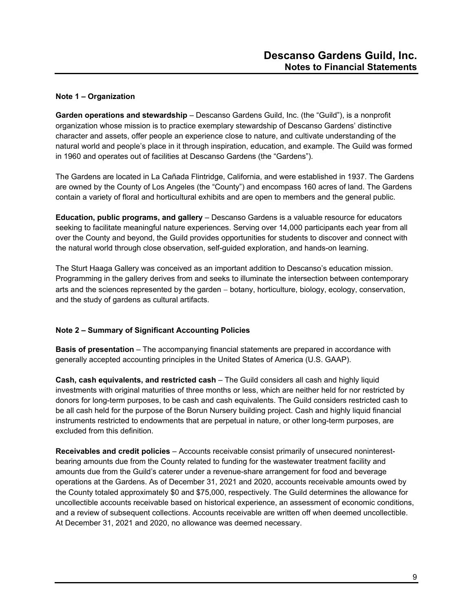## **Note 1 – Organization**

**Garden operations and stewardship** – Descanso Gardens Guild, Inc. (the "Guild"), is a nonprofit organization whose mission is to practice exemplary stewardship of Descanso Gardens' distinctive character and assets, offer people an experience close to nature, and cultivate understanding of the natural world and people's place in it through inspiration, education, and example. The Guild was formed in 1960 and operates out of facilities at Descanso Gardens (the "Gardens").

The Gardens are located in La Cañada Flintridge, California, and were established in 1937. The Gardens are owned by the County of Los Angeles (the "County") and encompass 160 acres of land. The Gardens contain a variety of floral and horticultural exhibits and are open to members and the general public.

**Education, public programs, and gallery** – Descanso Gardens is a valuable resource for educators seeking to facilitate meaningful nature experiences. Serving over 14,000 participants each year from all over the County and beyond, the Guild provides opportunities for students to discover and connect with the natural world through close observation, self-guided exploration, and hands-on learning.

The Sturt Haaga Gallery was conceived as an important addition to Descanso's education mission. Programming in the gallery derives from and seeks to illuminate the intersection between contemporary arts and the sciences represented by the garden – botany, horticulture, biology, ecology, conservation, and the study of gardens as cultural artifacts.

# **Note 2 – Summary of Significant Accounting Policies**

**Basis of presentation** – The accompanying financial statements are prepared in accordance with generally accepted accounting principles in the United States of America (U.S. GAAP).

**Cash, cash equivalents, and restricted cash** – The Guild considers all cash and highly liquid investments with original maturities of three months or less, which are neither held for nor restricted by donors for long-term purposes, to be cash and cash equivalents. The Guild considers restricted cash to be all cash held for the purpose of the Borun Nursery building project. Cash and highly liquid financial instruments restricted to endowments that are perpetual in nature, or other long-term purposes, are excluded from this definition.

**Receivables and credit policies** – Accounts receivable consist primarily of unsecured noninterestbearing amounts due from the County related to funding for the wastewater treatment facility and amounts due from the Guild's caterer under a revenue-share arrangement for food and beverage operations at the Gardens. As of December 31, 2021 and 2020, accounts receivable amounts owed by the County totaled approximately \$0 and \$75,000, respectively. The Guild determines the allowance for uncollectible accounts receivable based on historical experience, an assessment of economic conditions, and a review of subsequent collections. Accounts receivable are written off when deemed uncollectible. At December 31, 2021 and 2020, no allowance was deemed necessary.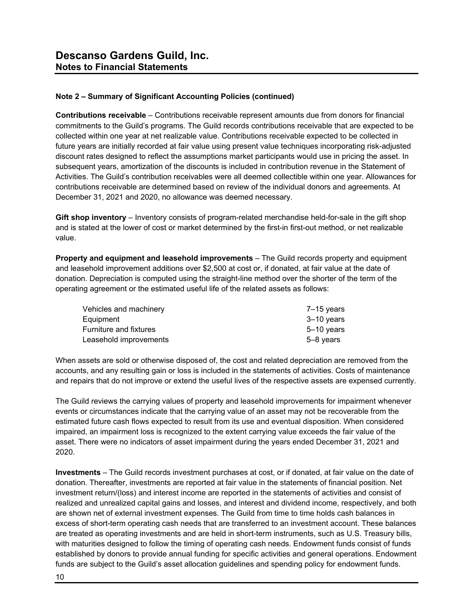**Contributions receivable** – Contributions receivable represent amounts due from donors for financial commitments to the Guild's programs. The Guild records contributions receivable that are expected to be collected within one year at net realizable value. Contributions receivable expected to be collected in future years are initially recorded at fair value using present value techniques incorporating risk-adjusted discount rates designed to reflect the assumptions market participants would use in pricing the asset. In subsequent years, amortization of the discounts is included in contribution revenue in the Statement of Activities. The Guild's contribution receivables were all deemed collectible within one year. Allowances for contributions receivable are determined based on review of the individual donors and agreements. At December 31, 2021 and 2020, no allowance was deemed necessary.

**Gift shop inventory** – Inventory consists of program-related merchandise held-for-sale in the gift shop and is stated at the lower of cost or market determined by the first-in first-out method, or net realizable value.

**Property and equipment and leasehold improvements** – The Guild records property and equipment and leasehold improvement additions over \$2,500 at cost or, if donated, at fair value at the date of donation. Depreciation is computed using the straight-line method over the shorter of the term of the operating agreement or the estimated useful life of the related assets as follows:

| Vehicles and machinery | 7-15 years |
|------------------------|------------|
| Equipment              | 3–10 years |
| Furniture and fixtures | 5–10 years |
| Leasehold improvements | 5–8 years  |

When assets are sold or otherwise disposed of, the cost and related depreciation are removed from the accounts, and any resulting gain or loss is included in the statements of activities. Costs of maintenance and repairs that do not improve or extend the useful lives of the respective assets are expensed currently.

The Guild reviews the carrying values of property and leasehold improvements for impairment whenever events or circumstances indicate that the carrying value of an asset may not be recoverable from the estimated future cash flows expected to result from its use and eventual disposition. When considered impaired, an impairment loss is recognized to the extent carrying value exceeds the fair value of the asset. There were no indicators of asset impairment during the years ended December 31, 2021 and 2020.

**Investments** – The Guild records investment purchases at cost, or if donated, at fair value on the date of donation. Thereafter, investments are reported at fair value in the statements of financial position. Net investment return/(loss) and interest income are reported in the statements of activities and consist of realized and unrealized capital gains and losses, and interest and dividend income, respectively, and both are shown net of external investment expenses. The Guild from time to time holds cash balances in excess of short-term operating cash needs that are transferred to an investment account. These balances are treated as operating investments and are held in short-term instruments, such as U.S. Treasury bills, with maturities designed to follow the timing of operating cash needs. Endowment funds consist of funds established by donors to provide annual funding for specific activities and general operations. Endowment funds are subject to the Guild's asset allocation guidelines and spending policy for endowment funds.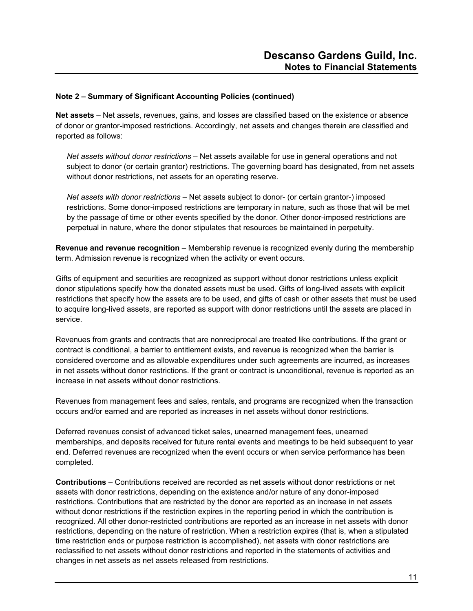**Net assets** – Net assets, revenues, gains, and losses are classified based on the existence or absence of donor or grantor-imposed restrictions. Accordingly, net assets and changes therein are classified and reported as follows:

*Net assets without donor restrictions* – Net assets available for use in general operations and not subject to donor (or certain grantor) restrictions. The governing board has designated, from net assets without donor restrictions, net assets for an operating reserve.

*Net assets with donor restrictions* – Net assets subject to donor- (or certain grantor-) imposed restrictions. Some donor-imposed restrictions are temporary in nature, such as those that will be met by the passage of time or other events specified by the donor. Other donor-imposed restrictions are perpetual in nature, where the donor stipulates that resources be maintained in perpetuity.

**Revenue and revenue recognition** – Membership revenue is recognized evenly during the membership term. Admission revenue is recognized when the activity or event occurs.

Gifts of equipment and securities are recognized as support without donor restrictions unless explicit donor stipulations specify how the donated assets must be used. Gifts of long-lived assets with explicit restrictions that specify how the assets are to be used, and gifts of cash or other assets that must be used to acquire long-lived assets, are reported as support with donor restrictions until the assets are placed in service.

Revenues from grants and contracts that are nonreciprocal are treated like contributions. If the grant or contract is conditional, a barrier to entitlement exists, and revenue is recognized when the barrier is considered overcome and as allowable expenditures under such agreements are incurred, as increases in net assets without donor restrictions. If the grant or contract is unconditional, revenue is reported as an increase in net assets without donor restrictions.

Revenues from management fees and sales, rentals, and programs are recognized when the transaction occurs and/or earned and are reported as increases in net assets without donor restrictions.

Deferred revenues consist of advanced ticket sales, unearned management fees, unearned memberships, and deposits received for future rental events and meetings to be held subsequent to year end. Deferred revenues are recognized when the event occurs or when service performance has been completed.

**Contributions** – Contributions received are recorded as net assets without donor restrictions or net assets with donor restrictions, depending on the existence and/or nature of any donor-imposed restrictions. Contributions that are restricted by the donor are reported as an increase in net assets without donor restrictions if the restriction expires in the reporting period in which the contribution is recognized. All other donor-restricted contributions are reported as an increase in net assets with donor restrictions, depending on the nature of restriction. When a restriction expires (that is, when a stipulated time restriction ends or purpose restriction is accomplished), net assets with donor restrictions are reclassified to net assets without donor restrictions and reported in the statements of activities and changes in net assets as net assets released from restrictions.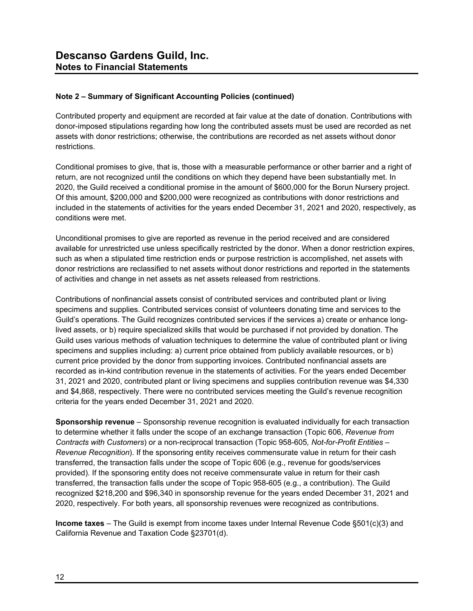Contributed property and equipment are recorded at fair value at the date of donation. Contributions with donor-imposed stipulations regarding how long the contributed assets must be used are recorded as net assets with donor restrictions; otherwise, the contributions are recorded as net assets without donor restrictions.

Conditional promises to give, that is, those with a measurable performance or other barrier and a right of return, are not recognized until the conditions on which they depend have been substantially met. In 2020, the Guild received a conditional promise in the amount of \$600,000 for the Borun Nursery project. Of this amount, \$200,000 and \$200,000 were recognized as contributions with donor restrictions and included in the statements of activities for the years ended December 31, 2021 and 2020, respectively, as conditions were met.

Unconditional promises to give are reported as revenue in the period received and are considered available for unrestricted use unless specifically restricted by the donor. When a donor restriction expires, such as when a stipulated time restriction ends or purpose restriction is accomplished, net assets with donor restrictions are reclassified to net assets without donor restrictions and reported in the statements of activities and change in net assets as net assets released from restrictions.

Contributions of nonfinancial assets consist of contributed services and contributed plant or living specimens and supplies. Contributed services consist of volunteers donating time and services to the Guild's operations. The Guild recognizes contributed services if the services a) create or enhance longlived assets, or b) require specialized skills that would be purchased if not provided by donation. The Guild uses various methods of valuation techniques to determine the value of contributed plant or living specimens and supplies including: a) current price obtained from publicly available resources, or b) current price provided by the donor from supporting invoices. Contributed nonfinancial assets are recorded as in-kind contribution revenue in the statements of activities. For the years ended December 31, 2021 and 2020, contributed plant or living specimens and supplies contribution revenue was \$4,330 and \$4,868, respectively. There were no contributed services meeting the Guild's revenue recognition criteria for the years ended December 31, 2021 and 2020.

**Sponsorship revenue** – Sponsorship revenue recognition is evaluated individually for each transaction to determine whether it falls under the scope of an exchange transaction (Topic 606, *Revenue from Contracts with Customers*) or a non-reciprocal transaction (Topic 958-605*, Not-for-Profit Entities – Revenue Recognition*). If the sponsoring entity receives commensurate value in return for their cash transferred, the transaction falls under the scope of Topic 606 (e.g., revenue for goods/services provided). If the sponsoring entity does not receive commensurate value in return for their cash transferred, the transaction falls under the scope of Topic 958-605 (e.g., a contribution). The Guild recognized \$218,200 and \$96,340 in sponsorship revenue for the years ended December 31, 2021 and 2020, respectively. For both years, all sponsorship revenues were recognized as contributions.

**Income taxes** – The Guild is exempt from income taxes under Internal Revenue Code §501(c)(3) and California Revenue and Taxation Code §23701(d).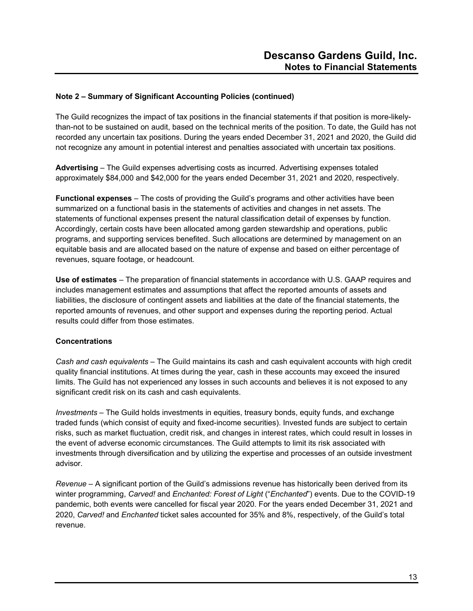The Guild recognizes the impact of tax positions in the financial statements if that position is more-likelythan-not to be sustained on audit, based on the technical merits of the position. To date, the Guild has not recorded any uncertain tax positions. During the years ended December 31, 2021 and 2020, the Guild did not recognize any amount in potential interest and penalties associated with uncertain tax positions.

**Advertising** – The Guild expenses advertising costs as incurred. Advertising expenses totaled approximately \$84,000 and \$42,000 for the years ended December 31, 2021 and 2020, respectively.

**Functional expenses** – The costs of providing the Guild's programs and other activities have been summarized on a functional basis in the statements of activities and changes in net assets. The statements of functional expenses present the natural classification detail of expenses by function. Accordingly, certain costs have been allocated among garden stewardship and operations, public programs, and supporting services benefited. Such allocations are determined by management on an equitable basis and are allocated based on the nature of expense and based on either percentage of revenues, square footage, or headcount.

**Use of estimates** – The preparation of financial statements in accordance with U.S. GAAP requires and includes management estimates and assumptions that affect the reported amounts of assets and liabilities, the disclosure of contingent assets and liabilities at the date of the financial statements, the reported amounts of revenues, and other support and expenses during the reporting period. Actual results could differ from those estimates.

#### **Concentrations**

*Cash and cash equivalents* – The Guild maintains its cash and cash equivalent accounts with high credit quality financial institutions. At times during the year, cash in these accounts may exceed the insured limits. The Guild has not experienced any losses in such accounts and believes it is not exposed to any significant credit risk on its cash and cash equivalents.

*Investments –* The Guild holds investments in equities, treasury bonds, equity funds, and exchange traded funds (which consist of equity and fixed-income securities). Invested funds are subject to certain risks, such as market fluctuation, credit risk, and changes in interest rates, which could result in losses in the event of adverse economic circumstances. The Guild attempts to limit its risk associated with investments through diversification and by utilizing the expertise and processes of an outside investment advisor.

*Revenue* – A significant portion of the Guild's admissions revenue has historically been derived from its winter programming, *Carved!* and *Enchanted: Forest of Light* ("*Enchanted*") events. Due to the COVID-19 pandemic, both events were cancelled for fiscal year 2020. For the years ended December 31, 2021 and 2020, *Carved!* and *Enchanted* ticket sales accounted for 35% and 8%, respectively, of the Guild's total revenue.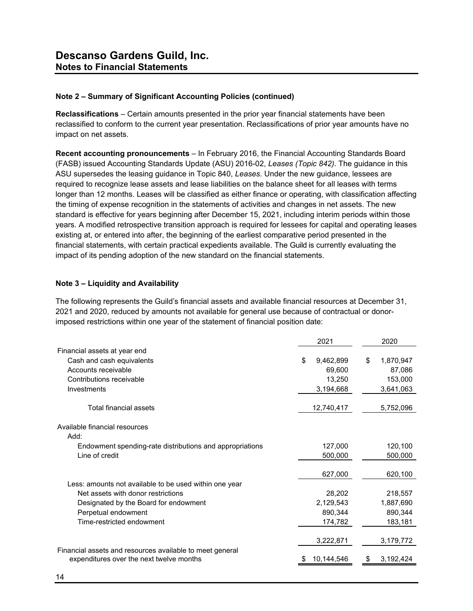**Reclassifications** – Certain amounts presented in the prior year financial statements have been reclassified to conform to the current year presentation. Reclassifications of prior year amounts have no impact on net assets.

**Recent accounting pronouncements** – In February 2016, the Financial Accounting Standards Board (FASB) issued Accounting Standards Update (ASU) 2016-02, *Leases (Topic 842)*. The guidance in this ASU supersedes the leasing guidance in Topic 840, *Leases*. Under the new guidance, lessees are required to recognize lease assets and lease liabilities on the balance sheet for all leases with terms longer than 12 months. Leases will be classified as either finance or operating, with classification affecting the timing of expense recognition in the statements of activities and changes in net assets. The new standard is effective for years beginning after December 15, 2021, including interim periods within those years. A modified retrospective transition approach is required for lessees for capital and operating leases existing at, or entered into after, the beginning of the earliest comparative period presented in the financial statements, with certain practical expedients available. The Guild is currently evaluating the impact of its pending adoption of the new standard on the financial statements.

#### **Note 3 – Liquidity and Availability**

The following represents the Guild's financial assets and available financial resources at December 31, 2021 and 2020, reduced by amounts not available for general use because of contractual or donorimposed restrictions within one year of the statement of financial position date:

|                                                                                                      | 2021            | 2020            |
|------------------------------------------------------------------------------------------------------|-----------------|-----------------|
| Financial assets at year end                                                                         |                 |                 |
| Cash and cash equivalents                                                                            | 9,462,899<br>\$ | \$<br>1,870,947 |
| Accounts receivable                                                                                  | 69,600          | 87,086          |
| Contributions receivable                                                                             | 13,250          | 153,000         |
| Investments                                                                                          | 3,194,668       | 3,641,063       |
|                                                                                                      |                 |                 |
| <b>Total financial assets</b>                                                                        | 12,740,417      | 5,752,096       |
| Available financial resources                                                                        |                 |                 |
| Add:                                                                                                 |                 |                 |
| Endowment spending-rate distributions and appropriations                                             | 127,000         | 120,100         |
| Line of credit                                                                                       | 500,000         | 500,000         |
|                                                                                                      | 627,000         | 620,100         |
| Less: amounts not available to be used within one year                                               |                 |                 |
| Net assets with donor restrictions                                                                   | 28,202          | 218,557         |
| Designated by the Board for endowment                                                                | 2,129,543       | 1,887,690       |
| Perpetual endowment                                                                                  | 890,344         | 890,344         |
| Time-restricted endowment                                                                            | 174,782         | 183,181         |
|                                                                                                      |                 |                 |
|                                                                                                      | 3,222,871       | 3,179,772       |
| Financial assets and resources available to meet general<br>expenditures over the next twelve months | 10,144,546      | 3,192,424<br>S  |
|                                                                                                      |                 |                 |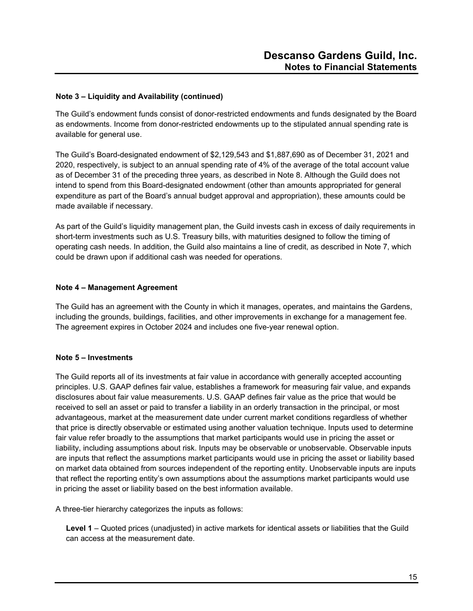# **Note 3 – Liquidity and Availability (continued)**

The Guild's endowment funds consist of donor-restricted endowments and funds designated by the Board as endowments. Income from donor-restricted endowments up to the stipulated annual spending rate is available for general use.

The Guild's Board-designated endowment of \$2,129,543 and \$1,887,690 as of December 31, 2021 and 2020, respectively, is subject to an annual spending rate of 4% of the average of the total account value as of December 31 of the preceding three years, as described in Note 8. Although the Guild does not intend to spend from this Board-designated endowment (other than amounts appropriated for general expenditure as part of the Board's annual budget approval and appropriation), these amounts could be made available if necessary.

As part of the Guild's liquidity management plan, the Guild invests cash in excess of daily requirements in short-term investments such as U.S. Treasury bills, with maturities designed to follow the timing of operating cash needs. In addition, the Guild also maintains a line of credit, as described in Note 7, which could be drawn upon if additional cash was needed for operations.

#### **Note 4 – Management Agreement**

The Guild has an agreement with the County in which it manages, operates, and maintains the Gardens, including the grounds, buildings, facilities, and other improvements in exchange for a management fee. The agreement expires in October 2024 and includes one five-year renewal option.

#### **Note 5 – Investments**

The Guild reports all of its investments at fair value in accordance with generally accepted accounting principles. U.S. GAAP defines fair value, establishes a framework for measuring fair value, and expands disclosures about fair value measurements. U.S. GAAP defines fair value as the price that would be received to sell an asset or paid to transfer a liability in an orderly transaction in the principal, or most advantageous, market at the measurement date under current market conditions regardless of whether that price is directly observable or estimated using another valuation technique. Inputs used to determine fair value refer broadly to the assumptions that market participants would use in pricing the asset or liability, including assumptions about risk. Inputs may be observable or unobservable. Observable inputs are inputs that reflect the assumptions market participants would use in pricing the asset or liability based on market data obtained from sources independent of the reporting entity. Unobservable inputs are inputs that reflect the reporting entity's own assumptions about the assumptions market participants would use in pricing the asset or liability based on the best information available.

A three-tier hierarchy categorizes the inputs as follows:

**Level 1** – Quoted prices (unadjusted) in active markets for identical assets or liabilities that the Guild can access at the measurement date.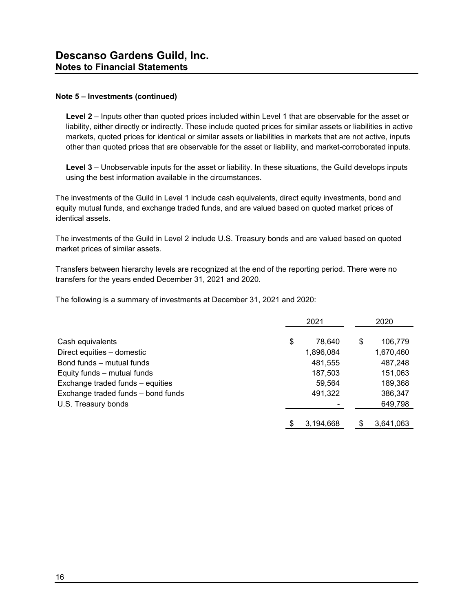#### **Note 5 – Investments (continued)**

**Level 2** – Inputs other than quoted prices included within Level 1 that are observable for the asset or liability, either directly or indirectly. These include quoted prices for similar assets or liabilities in active markets, quoted prices for identical or similar assets or liabilities in markets that are not active, inputs other than quoted prices that are observable for the asset or liability, and market-corroborated inputs.

**Level 3** – Unobservable inputs for the asset or liability. In these situations, the Guild develops inputs using the best information available in the circumstances.

The investments of the Guild in Level 1 include cash equivalents, direct equity investments, bond and equity mutual funds, and exchange traded funds, and are valued based on quoted market prices of identical assets.

The investments of the Guild in Level 2 include U.S. Treasury bonds and are valued based on quoted market prices of similar assets.

Transfers between hierarchy levels are recognized at the end of the reporting period. There were no transfers for the years ended December 31, 2021 and 2020.

The following is a summary of investments at December 31, 2021 and 2020:

|                                    | 2021         | 2020          |
|------------------------------------|--------------|---------------|
|                                    |              |               |
| Cash equivalents                   | \$<br>78.640 | \$<br>106,779 |
| Direct equities - domestic         | 1,896,084    | 1,670,460     |
| Bond funds - mutual funds          | 481,555      | 487,248       |
| Equity funds - mutual funds        | 187,503      | 151,063       |
| Exchange traded funds - equities   | 59,564       | 189,368       |
| Exchange traded funds - bond funds | 491,322      | 386,347       |
| U.S. Treasury bonds                |              | 649,798       |
|                                    |              |               |
|                                    | 3,194,668    | 3,641,063     |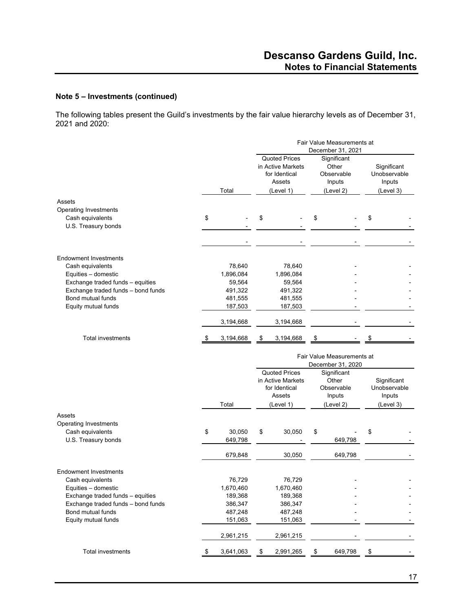#### **Note 5 – Investments (continued)**

The following tables present the Guild's investments by the fair value hierarchy levels as of December 31, 2021 and 2020:

|                                    |       |           | Fair Value Measurements at                                                        |           |                                                                                |  |                           |                       |  |  |
|------------------------------------|-------|-----------|-----------------------------------------------------------------------------------|-----------|--------------------------------------------------------------------------------|--|---------------------------|-----------------------|--|--|
|                                    | Total |           | <b>Quoted Prices</b><br>in Active Markets<br>for Identical<br>Assets<br>(Level 1) |           | December 31, 2021<br>Significant<br>Other<br>Observable<br>Inputs<br>(Level 2) |  | Unobservable<br>(Level 3) | Significant<br>Inputs |  |  |
| Assets                             |       |           |                                                                                   |           |                                                                                |  |                           |                       |  |  |
| Operating Investments              |       |           |                                                                                   |           |                                                                                |  |                           |                       |  |  |
| Cash equivalents                   | \$    |           | \$                                                                                |           | \$                                                                             |  |                           |                       |  |  |
| U.S. Treasury bonds                |       |           |                                                                                   |           |                                                                                |  |                           |                       |  |  |
|                                    |       |           |                                                                                   |           |                                                                                |  |                           |                       |  |  |
| <b>Endowment Investments</b>       |       |           |                                                                                   |           |                                                                                |  |                           |                       |  |  |
| Cash equivalents                   |       | 78,640    |                                                                                   | 78,640    |                                                                                |  |                           |                       |  |  |
| Equities - domestic                |       | 1,896,084 |                                                                                   | 1,896,084 |                                                                                |  |                           |                       |  |  |
| Exchange traded funds - equities   |       | 59,564    |                                                                                   | 59,564    |                                                                                |  |                           |                       |  |  |
| Exchange traded funds - bond funds |       | 491,322   |                                                                                   | 491,322   |                                                                                |  |                           |                       |  |  |
| Bond mutual funds                  |       | 481,555   |                                                                                   | 481,555   |                                                                                |  |                           |                       |  |  |
| Equity mutual funds                |       | 187,503   |                                                                                   | 187,503   |                                                                                |  |                           |                       |  |  |
|                                    |       | 3,194,668 |                                                                                   | 3,194,668 |                                                                                |  |                           |                       |  |  |
| Total investments                  |       | 3,194,668 | \$                                                                                | 3,194,668 | \$                                                                             |  |                           |                       |  |  |

|                                    |    |           | Fair Value Measurements at<br>December 31, 2020 |           |    |                                                                                   |    |                                                           |                                                    |  |
|------------------------------------|----|-----------|-------------------------------------------------|-----------|----|-----------------------------------------------------------------------------------|----|-----------------------------------------------------------|----------------------------------------------------|--|
|                                    |    |           | Total                                           |           |    | <b>Quoted Prices</b><br>in Active Markets<br>for Identical<br>Assets<br>(Level 1) |    | Significant<br>Other<br>Observable<br>Inputs<br>(Level 2) | Significant<br>Unobservable<br>Inputs<br>(Level 3) |  |
| Assets                             |    |           |                                                 |           |    |                                                                                   |    |                                                           |                                                    |  |
| Operating Investments              |    |           |                                                 |           |    |                                                                                   |    |                                                           |                                                    |  |
| Cash equivalents                   | \$ | 30,050    | \$                                              | 30,050    | \$ |                                                                                   | \$ |                                                           |                                                    |  |
| U.S. Treasury bonds                |    | 649,798   |                                                 |           |    | 649,798                                                                           |    |                                                           |                                                    |  |
|                                    |    | 679,848   |                                                 | 30,050    |    | 649,798                                                                           |    |                                                           |                                                    |  |
| <b>Endowment Investments</b>       |    |           |                                                 |           |    |                                                                                   |    |                                                           |                                                    |  |
| Cash equivalents                   |    | 76,729    |                                                 | 76,729    |    |                                                                                   |    |                                                           |                                                    |  |
| Equities - domestic                |    | 1,670,460 |                                                 | 1,670,460 |    |                                                                                   |    |                                                           |                                                    |  |
| Exchange traded funds - equities   |    | 189,368   |                                                 | 189,368   |    |                                                                                   |    |                                                           |                                                    |  |
| Exchange traded funds - bond funds |    | 386,347   |                                                 | 386,347   |    |                                                                                   |    |                                                           |                                                    |  |
| Bond mutual funds                  |    | 487,248   |                                                 | 487,248   |    |                                                                                   |    |                                                           |                                                    |  |
| Equity mutual funds                |    | 151,063   |                                                 | 151,063   |    |                                                                                   |    |                                                           |                                                    |  |
|                                    |    | 2,961,215 |                                                 | 2,961,215 |    |                                                                                   |    |                                                           |                                                    |  |
| <b>Total investments</b>           |    | 3,641,063 | \$                                              | 2,991,265 | \$ | 649,798                                                                           | \$ |                                                           |                                                    |  |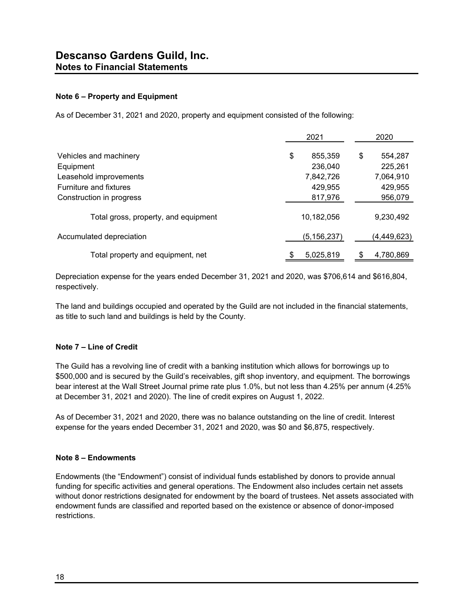#### **Note 6 – Property and Equipment**

As of December 31, 2021 and 2020, property and equipment consisted of the following:

|                                      | 2021 |             | 2020            |  |
|--------------------------------------|------|-------------|-----------------|--|
| Vehicles and machinery               | \$   | 855,359     | \$<br>554,287   |  |
| Equipment                            |      | 236,040     | 225,261         |  |
| Leasehold improvements               |      | 7,842,726   | 7,064,910       |  |
| Furniture and fixtures               |      | 429,955     | 429,955         |  |
| Construction in progress             |      | 817,976     | 956,079         |  |
| Total gross, property, and equipment |      | 10,182,056  | 9,230,492       |  |
| Accumulated depreciation             |      | (5,156,237) | (4,449,623)     |  |
| Total property and equipment, net    |      | 5,025,819   | \$<br>4,780,869 |  |

Depreciation expense for the years ended December 31, 2021 and 2020, was \$706,614 and \$616,804, respectively.

The land and buildings occupied and operated by the Guild are not included in the financial statements, as title to such land and buildings is held by the County.

#### **Note 7 – Line of Credit**

The Guild has a revolving line of credit with a banking institution which allows for borrowings up to \$500,000 and is secured by the Guild's receivables, gift shop inventory, and equipment. The borrowings bear interest at the Wall Street Journal prime rate plus 1.0%, but not less than 4.25% per annum (4.25% at December 31, 2021 and 2020). The line of credit expires on August 1, 2022.

As of December 31, 2021 and 2020, there was no balance outstanding on the line of credit. Interest expense for the years ended December 31, 2021 and 2020, was \$0 and \$6,875, respectively.

#### **Note 8 – Endowments**

Endowments (the "Endowment") consist of individual funds established by donors to provide annual funding for specific activities and general operations. The Endowment also includes certain net assets without donor restrictions designated for endowment by the board of trustees. Net assets associated with endowment funds are classified and reported based on the existence or absence of donor-imposed restrictions.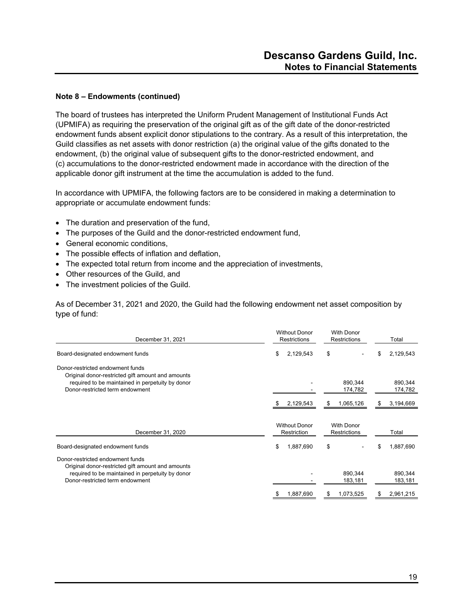## **Note 8 – Endowments (continued)**

The board of trustees has interpreted the Uniform Prudent Management of Institutional Funds Act (UPMIFA) as requiring the preservation of the original gift as of the gift date of the donor-restricted endowment funds absent explicit donor stipulations to the contrary. As a result of this interpretation, the Guild classifies as net assets with donor restriction (a) the original value of the gifts donated to the endowment, (b) the original value of subsequent gifts to the donor-restricted endowment, and (c) accumulations to the donor-restricted endowment made in accordance with the direction of the applicable donor gift instrument at the time the accumulation is added to the fund.

In accordance with UPMIFA, the following factors are to be considered in making a determination to appropriate or accumulate endowment funds:

- The duration and preservation of the fund,
- The purposes of the Guild and the donor-restricted endowment fund,
- General economic conditions,
- The possible effects of inflation and deflation,
- The expected total return from income and the appreciation of investments,
- Other resources of the Guild, and
- The investment policies of the Guild.

As of December 31, 2021 and 2020, the Guild had the following endowment net asset composition by type of fund:

| December 31, 2021                                                                                                                                                            | <b>Without Donor</b><br><b>Restrictions</b> | <b>With Donor</b><br><b>Restrictions</b> | Total              |
|------------------------------------------------------------------------------------------------------------------------------------------------------------------------------|---------------------------------------------|------------------------------------------|--------------------|
| Board-designated endowment funds                                                                                                                                             | \$<br>2,129,543                             | \$                                       | 2,129,543<br>\$    |
| Donor-restricted endowment funds<br>Original donor-restricted gift amount and amounts<br>required to be maintained in perpetuity by donor<br>Donor-restricted term endowment |                                             | 890,344<br>174,782                       | 890,344<br>174,782 |
|                                                                                                                                                                              | 2,129,543                                   | 1,065,126<br>\$                          | 3,194,669          |
| December 31, 2020                                                                                                                                                            | <b>Without Donor</b><br>Restriction         | <b>With Donor</b><br><b>Restrictions</b> | Total              |
| Board-designated endowment funds                                                                                                                                             | \$<br>1,887,690                             | \$                                       | 1,887,690<br>\$    |
| Donor-restricted endowment funds<br>Original donor-restricted gift amount and amounts<br>required to be maintained in perpetuity by donor<br>Donor-restricted term endowment |                                             | 890,344<br>183,181                       | 890,344<br>183,181 |
|                                                                                                                                                                              | 1,887,690                                   | 1,073,525<br>S                           | 2,961,215          |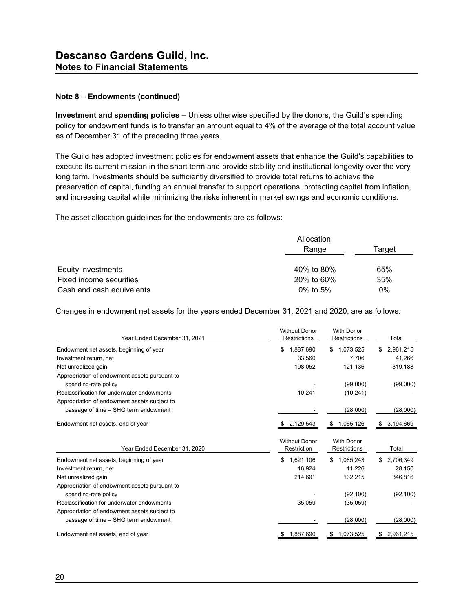#### **Note 8 – Endowments (continued)**

**Investment and spending policies** – Unless otherwise specified by the donors, the Guild's spending policy for endowment funds is to transfer an amount equal to 4% of the average of the total account value as of December 31 of the preceding three years.

The Guild has adopted investment policies for endowment assets that enhance the Guild's capabilities to execute its current mission in the short term and provide stability and institutional longevity over the very long term. Investments should be sufficiently diversified to provide total returns to achieve the preservation of capital, funding an annual transfer to support operations, protecting capital from inflation, and increasing capital while minimizing the risks inherent in market swings and economic conditions.

The asset allocation guidelines for the endowments are as follows:

|                           | Range      | Target |
|---------------------------|------------|--------|
| Equity investments        | 40% to 80% | 65%    |
| Fixed income securities   | 20% to 60% | 35%    |
| Cash and cash equivalents | 0% to 5%   | $0\%$  |

Changes in endowment net assets for the years ended December 31, 2021 and 2020, are as follows:

| Year Ended December 31, 2021                  | <b>Without Donor</b><br><b>Restrictions</b> | <b>With Donor</b><br>Restrictions | Total           |  |
|-----------------------------------------------|---------------------------------------------|-----------------------------------|-----------------|--|
| Endowment net assets, beginning of year       | 1,887,690<br>\$                             | 1,073,525<br>\$                   | 2,961,215<br>\$ |  |
| Investment return, net                        | 33,560                                      | 7,706                             | 41,266          |  |
| Net unrealized gain                           | 198.052                                     | 121,136                           | 319,188         |  |
| Appropriation of endowment assets pursuant to |                                             |                                   |                 |  |
| spending-rate policy                          |                                             | (99,000)                          | (99,000)        |  |
| Reclassification for underwater endowments    | 10,241                                      | (10, 241)                         |                 |  |
| Appropriation of endowment assets subject to  |                                             |                                   |                 |  |
| passage of time – SHG term endowment          |                                             | (28,000)                          | (28,000)        |  |
| Endowment net assets, end of year             | 2,129,543<br>-SS                            | 1,065,126<br>\$                   | 3,194,669<br>\$ |  |
|                                               | <b>Without Donor</b>                        | <b>With Donor</b>                 |                 |  |
| Year Ended December 31, 2020                  | Restriction                                 | Restrictions                      | Total           |  |
| Endowment net assets, beginning of year       | 1,621,106<br>\$                             | 1,085,243<br>\$                   | 2,706,349<br>\$ |  |
| Investment return, net                        | 16,924                                      | 11,226                            | 28,150          |  |
| Net unrealized gain                           | 214.601                                     | 132,215                           | 346,816         |  |
| Appropriation of endowment assets pursuant to |                                             |                                   |                 |  |
| spending-rate policy                          |                                             | (92, 100)                         | (92, 100)       |  |
| Reclassification for underwater endowments    | 35,059                                      | (35,059)                          |                 |  |
| Appropriation of endowment assets subject to  |                                             |                                   |                 |  |
| passage of time – SHG term endowment          |                                             | (28,000)                          | (28,000)        |  |
| Endowment net assets, end of year             | 1,887,690                                   | 1,073,525<br>\$                   | 2,961,215<br>\$ |  |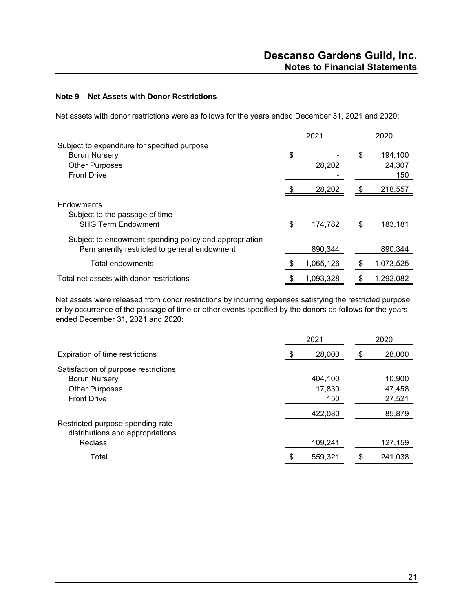#### **Note 9 – Net Assets with Donor Restrictions**

Net assets with donor restrictions were as follows for the years ended December 31, 2021 and 2020:

|                                                                                                                     | 2021 |           | 2020 |                          |
|---------------------------------------------------------------------------------------------------------------------|------|-----------|------|--------------------------|
| Subject to expenditure for specified purpose<br><b>Borun Nursery</b><br><b>Other Purposes</b><br><b>Front Drive</b> | \$   | 28,202    | \$   | 194.100<br>24,307<br>150 |
|                                                                                                                     |      | 28,202    | \$.  | 218,557                  |
| Endowments<br>Subject to the passage of time<br><b>SHG Term Endowment</b>                                           | \$   | 174.782   | \$   | 183,181                  |
| Subject to endowment spending policy and appropriation<br>Permanently restricted to general endowment               |      | 890.344   |      | 890.344                  |
| <b>Total endowments</b>                                                                                             |      | 1,065,126 |      | 1,073,525                |
| Total net assets with donor restrictions                                                                            |      | 1.093.328 | S    | 1.292.082                |

Net assets were released from donor restrictions by incurring expenses satisfying the restricted purpose or by occurrence of the passage of time or other events specified by the donors as follows for the years ended December 31, 2021 and 2020:

| 2021 |         | 2020         |
|------|---------|--------------|
|      | 28,000  | \$<br>28,000 |
|      |         |              |
|      | 404.100 | 10,900       |
|      | 17,830  | 47,458       |
|      | 150     | 27,521       |
|      | 422,080 | 85,879       |
|      |         |              |
|      |         |              |
|      | 109,241 | 127,159      |
|      | 559,321 | 241,038      |
|      |         |              |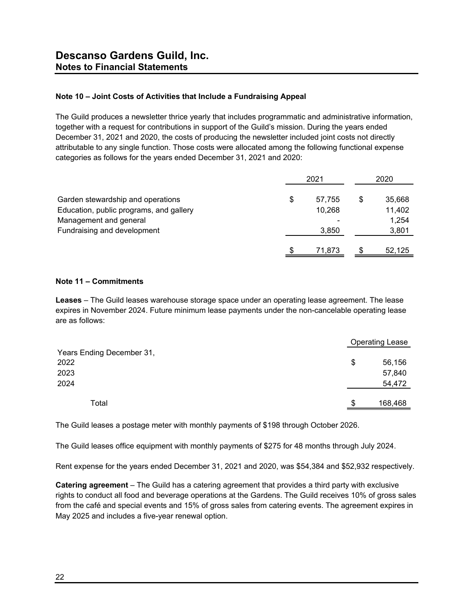#### **Note 10 – Joint Costs of Activities that Include a Fundraising Appeal**

The Guild produces a newsletter thrice yearly that includes programmatic and administrative information, together with a request for contributions in support of the Guild's mission. During the years ended December 31, 2021 and 2020, the costs of producing the newsletter included joint costs not directly attributable to any single function. Those costs were allocated among the following functional expense categories as follows for the years ended December 31, 2021 and 2020:

|                                         | 2021         |    | 2020   |
|-----------------------------------------|--------------|----|--------|
| Garden stewardship and operations       | \$<br>57.755 | \$ | 35,668 |
| Education, public programs, and gallery | 10,268       |    | 11,402 |
| Management and general                  |              |    | 1,254  |
| Fundraising and development             | 3,850        |    | 3,801  |
|                                         | 71,873       | S  | 52,125 |

#### **Note 11 – Commitments**

**Leases** – The Guild leases warehouse storage space under an operating lease agreement. The lease expires in November 2024. Future minimum lease payments under the non-cancelable operating lease are as follows:

|                           | <b>Operating Lease</b> |         |
|---------------------------|------------------------|---------|
| Years Ending December 31, |                        |         |
| 2022                      | \$                     | 56,156  |
| 2023                      |                        | 57,840  |
| 2024                      |                        | 54,472  |
| Total                     | \$                     | 168,468 |
|                           |                        |         |

The Guild leases a postage meter with monthly payments of \$198 through October 2026.

The Guild leases office equipment with monthly payments of \$275 for 48 months through July 2024.

Rent expense for the years ended December 31, 2021 and 2020, was \$54,384 and \$52,932 respectively.

**Catering agreement** – The Guild has a catering agreement that provides a third party with exclusive rights to conduct all food and beverage operations at the Gardens. The Guild receives 10% of gross sales from the café and special events and 15% of gross sales from catering events. The agreement expires in May 2025 and includes a five-year renewal option.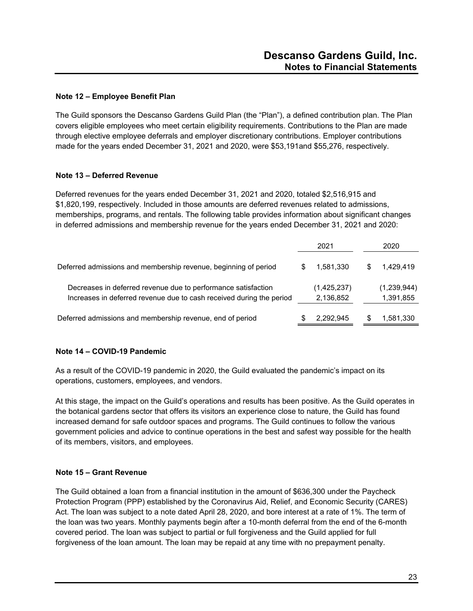## **Note 12 – Employee Benefit Plan**

The Guild sponsors the Descanso Gardens Guild Plan (the "Plan"), a defined contribution plan. The Plan covers eligible employees who meet certain eligibility requirements. Contributions to the Plan are made through elective employee deferrals and employer discretionary contributions. Employer contributions made for the years ended December 31, 2021 and 2020, were \$53,191and \$55,276, respectively.

# **Note 13 – Deferred Revenue**

Deferred revenues for the years ended December 31, 2021 and 2020, totaled \$2,516,915 and \$1,820,199, respectively. Included in those amounts are deferred revenues related to admissions, memberships, programs, and rentals. The following table provides information about significant changes in deferred admissions and membership revenue for the years ended December 31, 2021 and 2020:

|                                                                                                                                       | 2021                     |   | 2020                     |
|---------------------------------------------------------------------------------------------------------------------------------------|--------------------------|---|--------------------------|
| Deferred admissions and membership revenue, beginning of period                                                                       | 1,581,330                | S | 1.429.419                |
| Decreases in deferred revenue due to performance satisfaction<br>Increases in deferred revenue due to cash received during the period | (1,425,237)<br>2,136,852 |   | (1,239,944)<br>1,391,855 |
| Deferred admissions and membership revenue, end of period                                                                             | 2,292,945                | S | 1,581,330                |

#### **Note 14 – COVID-19 Pandemic**

As a result of the COVID-19 pandemic in 2020, the Guild evaluated the pandemic's impact on its operations, customers, employees, and vendors.

At this stage, the impact on the Guild's operations and results has been positive. As the Guild operates in the botanical gardens sector that offers its visitors an experience close to nature, the Guild has found increased demand for safe outdoor spaces and programs. The Guild continues to follow the various government policies and advice to continue operations in the best and safest way possible for the health of its members, visitors, and employees.

#### **Note 15 – Grant Revenue**

The Guild obtained a loan from a financial institution in the amount of \$636,300 under the Paycheck Protection Program (PPP) established by the Coronavirus Aid, Relief, and Economic Security (CARES) Act. The loan was subject to a note dated April 28, 2020, and bore interest at a rate of 1%. The term of the loan was two years. Monthly payments begin after a 10-month deferral from the end of the 6-month covered period. The loan was subject to partial or full forgiveness and the Guild applied for full forgiveness of the loan amount. The loan may be repaid at any time with no prepayment penalty.